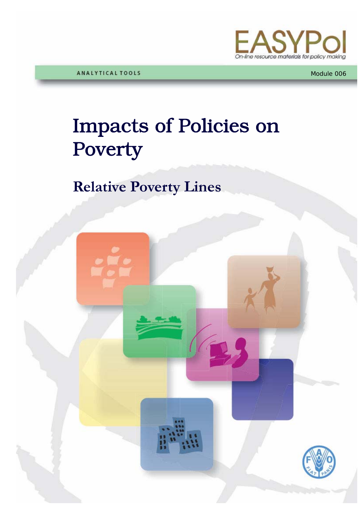

Module 006

# Impacts of Policies on Poverty

## **Relative Poverty Lines**

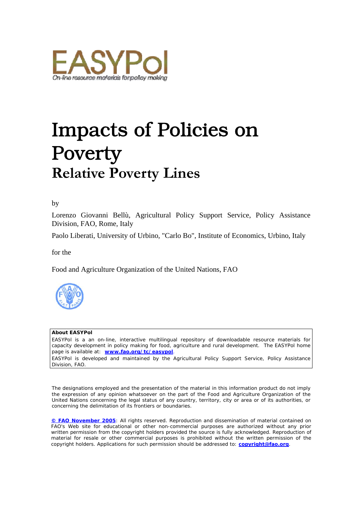

## Impacts of Policies on Poverty **Relative Poverty Lines**

#### by

Lorenzo Giovanni Bellù, Agricultural Policy Support Service, Policy Assistance Division, FAO, Rome, Italy

Paolo Liberati, University of Urbino, "Carlo Bo", Institute of Economics, Urbino, Italy

for the

Food and Agriculture Organization of the United Nations, FAO



#### **About EASYPol**

EASYPol is a an on-line, interactive multilingual repository of downloadable resource materials for capacity development in policy making for food, agriculture and rural development. The EASYPol home page is available at: *[www.fao.org/tc/easypol](http://www.fao.org/tc/easypol)*.

EASYPol is developed and maintained by the Agricultural Policy Support Service, Policy Assistance Division, FAO.

The designations employed and the presentation of the material in this information product do not imply the expression of any opinion whatsoever on the part of the Food and Agriculture Organization of the United Nations concerning the legal status of any country, territory, city or area or of its authorities, or concerning the delimitation of its frontiers or boundaries.

**[© FAO November 2005](http://www.fao.org/copyright_EN.htm)**: All rights reserved. Reproduction and dissemination of material contained on FAO's Web site for educational or other non-commercial purposes are authorized without any prior written permission from the copyright holders provided the source is fully acknowledged. Reproduction of material for resale or other commercial purposes is prohibited without the written permission of the copyright holders. Applications for such permission should be addressed to: **[copyright@fao.org](mailto:copyright@fao.org)**.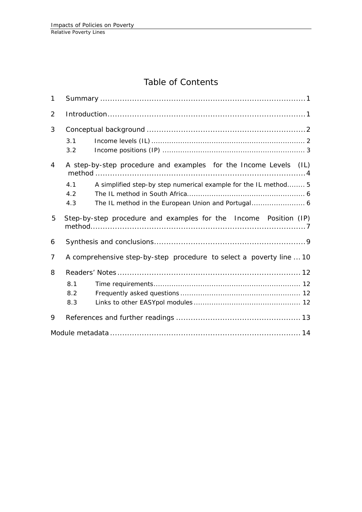## Table of Contents

| $\mathbf{1}$   |                                                                     |                                                                  |  |  |  |
|----------------|---------------------------------------------------------------------|------------------------------------------------------------------|--|--|--|
| 2              |                                                                     |                                                                  |  |  |  |
| 3              |                                                                     |                                                                  |  |  |  |
|                | 3.1<br>3.2                                                          |                                                                  |  |  |  |
| 4              |                                                                     | A step-by-step procedure and examples for the Income Levels (IL) |  |  |  |
|                | 4.1<br>4.2                                                          | A simplified step-by step numerical example for the IL method 5  |  |  |  |
|                | 4.3                                                                 |                                                                  |  |  |  |
| 5              |                                                                     | Step-by-step procedure and examples for the Income Position (IP) |  |  |  |
| 6              |                                                                     |                                                                  |  |  |  |
| $\overline{7}$ | A comprehensive step-by-step procedure to select a poverty line  10 |                                                                  |  |  |  |
| 8              |                                                                     |                                                                  |  |  |  |
|                | 8.1<br>8.2<br>8.3                                                   |                                                                  |  |  |  |
| 9              |                                                                     |                                                                  |  |  |  |
|                |                                                                     |                                                                  |  |  |  |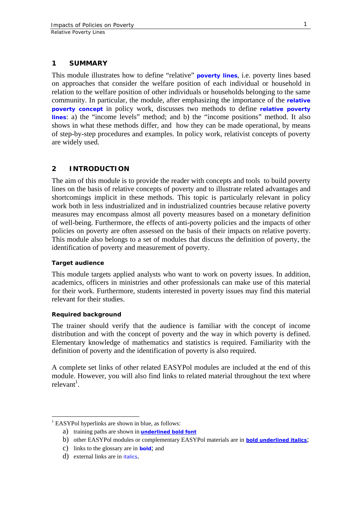### <span id="page-4-0"></span>**1 SUMMARY**

This module illustrates how to define "relative" **[poverty lines](http://www.fao.org/tc/easypol/output/glossary_term.asp?id=15041)**, i.e. poverty lines based on approaches that consider the welfare position of each individual or household in relation to the welfare position of other individuals or households belonging to the same community. In particular, the module, after emphasizing the importance of the **[relative](http://www.fao.org/tc/easypol/output/glossary_term.asp?id=15046) [poverty concept](http://www.fao.org/tc/easypol/output/glossary_term.asp?id=15046)** in policy work, discusses two methods to define **[relative poverty](http://www.fao.org/tc/easypol/output/glossary_term.asp?id=15047) [lines](http://www.fao.org/tc/easypol/output/glossary_term.asp?id=15047)**: a) the "income levels" method; and b) the "income positions" method. It also shows in what these methods differ, and how they can be made operational, by means of step-by-step procedures and examples. In policy work, relativist concepts of poverty are widely used.

## **2 INTRODUCTION**

The aim of this module is to provide the reader with concepts and tools to build poverty lines on the basis of relative concepts of poverty and to illustrate related advantages and shortcomings implicit in these methods. This topic is particularly relevant in policy work both in less industrialized and in industrialized countries because relative poverty measures may encompass almost all poverty measures based on a monetary definition of well-being. Furthermore, the effects of anti-poverty policies and the impacts of other policies on poverty are often assessed on the basis of their impacts on relative poverty. This module also belongs to a set of modules that discuss the definition of poverty, the identification of poverty and measurement of poverty.

#### **Target audience**

This module targets applied analysts who want to work on poverty issues. In addition, academics, officers in ministries and other professionals can make use of this material for their work. Furthermore, students interested in poverty issues may find this material relevant for their studies.

#### **Required background**

 $\overline{a}$ 

The trainer should verify that the audience is familiar with the concept of income distribution and with the concept of poverty and the way in which poverty is defined. Elementary knowledge of mathematics and statistics is required. Familiarity with the definition of poverty and the identification of poverty is also required.

A complete set links of other related EASYPol modules are included at the end of this module. However, you will also find links to related material throughout the text where relevant<sup>[1](#page-4-1)</sup>.

<span id="page-4-1"></span><sup>&</sup>lt;sup>1</sup> EASYPol hyperlinks are shown in blue, as follows:

a) training paths are shown in **underlined bold font**

b) other EASYPol modules or complementary EASYPol materials are in *bold underlined italics*;

c) links to the glossary are in **bold**; and

d) external links are in *italics*.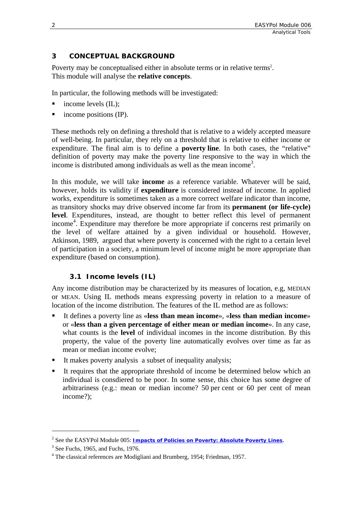## <span id="page-5-0"></span>**3 CONCEPTUAL BACKGROUND**

Poverty may be conceptualised either in absolute terms or in relative terms<sup>[2](#page-5-1)</sup>. This module will analyse the **relative concepts**.

In particular, the following methods will be investigated:

- income levels (IL);
- income positions (IP).

These methods rely on defining a threshold that is relative to a widely accepted measure of well-being. In particular, they rely on a threshold that is relative to either income or expenditure. The final aim is to define a **poverty line**. In both cases, the "relative" definition of poverty may make the poverty line responsive to the way in which the income is distributed among individuals as well as the mean income [3](#page-5-2) .

In this module, we will take **income** as a reference variable. Whatever will be said, however, holds its validity if **expenditure** is considered instead of income. In applied works, expenditure is sometimes taken as a more correct welfare indicator than income, as transitory shocks may drive observed income far from its **permanent (or life-cycle) level**. Expenditures, instead, are thought to better reflect this level of permanent income [4](#page-5-3) . Expenditure may therefore be more appropriate if concerns rest primarily on the level of welfare attained by a given individual or household. However, Atkinson, 1989, argued that where poverty is concerned with the right to a certain level of participation in a society, a minimum level of income might be more appropriate than expenditure (based on consumption).

## **3.1 Income levels (IL)**

Any income distribution may be characterized by its measures of location, e.g, MEDIAN or MEAN. Using IL methods means expressing poverty in relation to a measure of location of the income distribution. The features of the IL method are as follows:

- It defines a poverty line as «**less than mean income**», «**less than median income**» or «**less than a given percentage of either mean or median income**». In any case, what counts is the **level** of individual incomes in the income distribution. By this property, the value of the poverty line automatically evolves over time as far as mean or median income evolve;
- It makes poverty analysis a subset of inequality analysis;
- It requires that the appropriate threshold of income be determined below which an individual is consdiered to be poor. In some sense, this choice has some degree of arbitrariness (e.g.: mean or median income? 50 per cent or 60 per cent of mean income?);

 $\overline{a}$ 

<span id="page-5-1"></span><sup>2</sup> See the EASYPol Module 005: *Impacts of Policies on Poverty: Absolute Poverty Lines*. 3

<span id="page-5-2"></span> $3$  See Fuchs, 1965, and Fuchs, 1976.

<span id="page-5-3"></span>The classical references are Modigliani and Brumberg, 1954; Friedman, 1957.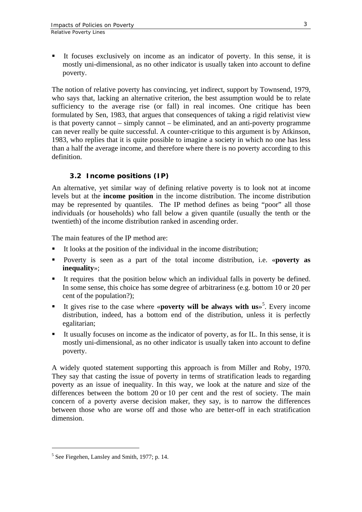<span id="page-6-0"></span> It focuses exclusively on income as an indicator of poverty. In this sense, it is mostly uni-dimensional, as no other indicator is usually taken into account to define poverty.

The notion of relative poverty has convincing, yet indirect, support by Townsend, 1979, who says that, lacking an alternative criterion, the best assumption would be to relate sufficiency to the average rise (or fall) in real incomes. One critique has been formulated by Sen, 1983, that argues that consequences of taking a rigid relativist view is that poverty cannot – simply cannot – be eliminated, and an anti-poverty programme can never really be quite successful. A counter-critique to this argument is by Atkinson, 1983, who replies that it is quite possible to imagine a society in which no one has less than a half the average income, and therefore where there is no poverty according to this definition.

## **3.2 Income positions (IP)**

An alternative, yet similar way of defining relative poverty is to look not at income levels but at the **income position** in the income distribution. The income distribution may be represented by quantiles. The IP method defines as being "poor" all those individuals (or households) who fall below a given quantile (usually the tenth or the twentieth) of the income distribution ranked in ascending order.

The main features of the IP method are:

- It looks at the position of the individual in the income distribution;
- Poverty is seen as a part of the total income distribution, i.e. «**poverty as inequality**»;
- It requires that the position below which an individual falls in poverty be defined. In some sense, this choice has some degree of arbitrariness (e.g. bottom 10 or 20 per cent of the population?);
- It gives rise to the case where «**poverty will be always with us**»<sup>[5](#page-6-1)</sup>. Every income distribution, indeed, has a bottom end of the distribution, unless it is perfectly egalitarian;
- It usually focuses on income as the indicator of poverty, as for IL. In this sense, it is mostly uni-dimensional, as no other indicator is usually taken into account to define poverty.

A widely quoted statement supporting this approach is from Miller and Roby, 1970. They say that casting the issue of poverty in terms of stratification leads to regarding poverty as an issue of inequality. In this way, we look at the nature and size of the differences between the bottom 20 or 10 per cent and the rest of society. The main concern of a poverty averse decision maker, they say, is to narrow the differences between those who are worse off and those who are better-off in each stratification dimension.

 $\overline{a}$ 

<span id="page-6-1"></span><sup>5</sup> See Fiegehen, Lansley and Smith, 1977; p. 14.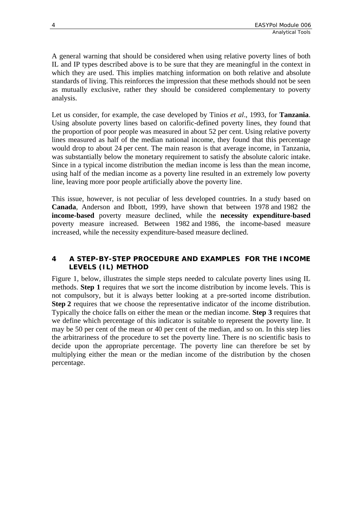<span id="page-7-0"></span>A general warning that should be considered when using relative poverty lines of both IL and IP types described above is to be sure that they are meaningful in the context in which they are used. This implies matching information on both relative and absolute standards of living. This reinforces the impression that these methods should not be seen as mutually exclusive, rather they should be considered complementary to poverty analysis.

Let us consider, for example, the case developed by Tinios *et al*., 1993, for **Tanzania**. Using absolute poverty lines based on calorific-defined poverty lines, they found that the proportion of poor people was measured in about 52 per cent. Using relative poverty lines measured as half of the median national income, they found that this percentage would drop to about 24 per cent. The main reason is that average income, in Tanzania, was substantially below the monetary requirement to satisfy the absolute caloric intake. Since in a typical income distribution the median income is less than the mean income, using half of the median income as a poverty line resulted in an extremely low poverty line, leaving more poor people artificially above the poverty line.

This issue, however, is not peculiar of less developed countries. In a study based on **Canada**, Anderson and Ibbott, 1999, have shown that between 1978 and 1982 the **income-based** poverty measure declined, while the **necessity expenditure-based** poverty measure increased. Between 1982 and 1986, the income-based measure increased, while the necessity expenditure-based measure declined.

## **4 A STEP-BY-STEP PROCEDURE AND EXAMPLES FOR THE INCOME LEVELS (IL) METHOD**

Figure 1, below, illustrates the simple steps needed to calculate poverty lines using IL methods. **Step 1** requires that we sort the income distribution by income levels. This is not compulsory, but it is always better looking at a pre-sorted income distribution. **Step 2** requires that we choose the representative indicator of the income distribution. Typically the choice falls on either the mean or the median income. **Step 3** requires that we define which percentage of this indicator is suitable to represent the poverty line. It may be 50 per cent of the mean or 40 per cent of the median, and so on. In this step lies the arbitrariness of the procedure to set the poverty line. There is no scientific basis to decide upon the appropriate percentage. The poverty line can therefore be set by multiplying either the mean or the median income of the distribution by the chosen percentage.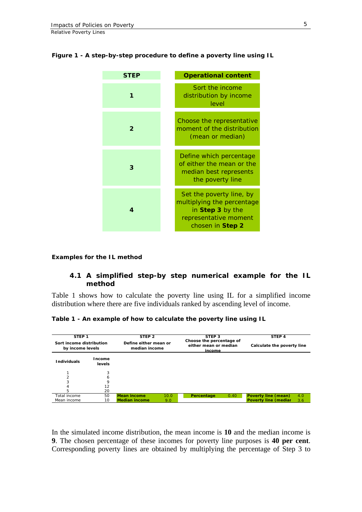#### <span id="page-8-0"></span>**Figure 1 - A step-by-step procedure to define a poverty line using IL**



#### **Examples for the IL method**

### **4.1 A simplified step-by step numerical example for the IL method**

Table 1 shows how to calculate the poverty line using IL for a simplified income distribution where there are five individuals ranked by ascending level of income.

| Table 1 - An example of how to calculate the poverty line using IL |  |
|--------------------------------------------------------------------|--|
|--------------------------------------------------------------------|--|

| STEP <sub>1</sub>                            |                         | STEP <sub>2</sub>                      |      | STEP <sub>3</sub>                                           |      | STEP 4                      |     |
|----------------------------------------------|-------------------------|----------------------------------------|------|-------------------------------------------------------------|------|-----------------------------|-----|
| Sort income distribution<br>by income levels |                         | Define either mean or<br>median income |      | Choose the percentage of<br>either mean or median<br>income |      | Calculate the poverty line  |     |
| <b>Individuals</b>                           | Income<br><b>levels</b> |                                        |      |                                                             |      |                             |     |
|                                              | 3                       |                                        |      |                                                             |      |                             |     |
|                                              | 6                       |                                        |      |                                                             |      |                             |     |
|                                              | 9                       |                                        |      |                                                             |      |                             |     |
| 4                                            | 12                      |                                        |      |                                                             |      |                             |     |
| 5                                            | 20                      |                                        |      |                                                             |      |                             |     |
| Total income                                 | 50                      | <b>Mean income</b>                     | 10.0 | Percentage                                                  | 0.40 | <b>Poverty line (mean)</b>  | 4.0 |
| Mean income                                  | 10                      | <b>Median income</b>                   | 9.0  |                                                             |      | <b>Poverty line (mediar</b> | 3.6 |

In the simulated income distribution, the mean income is **10** and the median income is **9**. The chosen percentage of these incomes for poverty line purposes is **40 per cent**. Corresponding poverty lines are obtained by multiplying the percentage of Step 3 to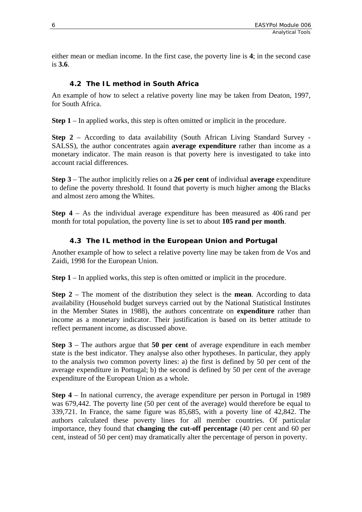<span id="page-9-0"></span>either mean or median income. In the first case, the poverty line is **4**; in the second case is **3.6**.

## **4.2 The IL method in South Africa**

An example of how to select a relative poverty line may be taken from Deaton, 1997, for South Africa.

**Step 1** – In applied works, this step is often omitted or implicit in the procedure.

**Step 2** – According to data availability (South African Living Standard Survey - SALSS), the author concentrates again **average expenditure** rather than income as a monetary indicator. The main reason is that poverty here is investigated to take into account racial differences.

**Step 3** – The author implicitly relies on a **26 per cent** of individual **average** expenditure to define the poverty threshold. It found that poverty is much higher among the Blacks and almost zero among the Whites.

**Step 4** – As the individual average expenditure has been measured as 406 rand per month for total population, the poverty line is set to about **105 rand per month**.

## **4.3 The IL method in the European Union and Portugal**

Another example of how to select a relative poverty line may be taken from de Vos and Zaidi, 1998 for the European Union.

**Step 1** – In applied works, this step is often omitted or implicit in the procedure.

**Step 2** – The moment of the distribution they select is the **mean**. According to data availability (Household budget surveys carried out by the National Statistical Institutes in the Member States in 1988), the authors concentrate on **expenditure** rather than income as a monetary indicator. Their justification is based on its better attitude to reflect permanent income, as discussed above.

**Step 3** – The authors argue that **50 per cent** of average expenditure in each member state is the best indicator. They analyse also other hypotheses. In particular, they apply to the analysis two common poverty lines: a) the first is defined by 50 per cent of the average expenditure in Portugal; b) the second is defined by 50 per cent of the average expenditure of the European Union as a whole.

**Step 4** – In national currency, the average expenditure per person in Portugal in 1989 was 679,442. The poverty line (50 per cent of the average) would therefore be equal to 339,721. In France, the same figure was 85,685, with a poverty line of 42,842. The authors calculated these poverty lines for all member countries. Of particular importance, they found that **changing the cut-off percentage** (40 per cent and 60 per cent, instead of 50 per cent) may dramatically alter the percentage of person in poverty.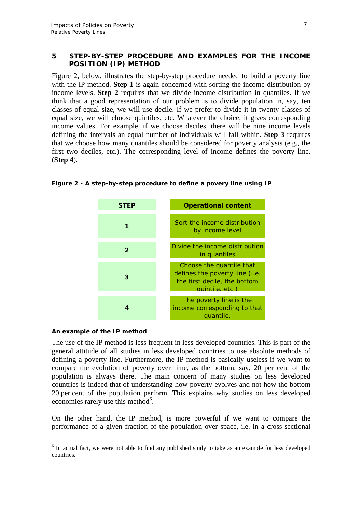### <span id="page-10-0"></span>**5 STEP-BY-STEP PROCEDURE AND EXAMPLES FOR THE INCOME POSITION (IP) METHOD**

Figure 2, below, illustrates the step-by-step procedure needed to build a poverty line with the IP method. **Step 1** is again concerned with sorting the income distribution by income levels. **Step 2** requires that we divide income distribution in quantiles. If we think that a good representation of our problem is to divide population in, say, ten classes of equal size, we will use decile. If we prefer to divide it in twenty classes of equal size, we will choose quintiles, etc. Whatever the choice, it gives corresponding income values. For example, if we choose deciles, there will be nine income levels defining the intervals an equal number of individuals will fall within. **Step 3** requires that we choose how many quantiles should be considered for poverty analysis (e.g., the first two deciles, etc.). The corresponding level of income defines the poverty line. (**Step 4**).



#### **Figure 2 - A step-by-step procedure to define a povery line using IP**

#### **An example of the IP method**

 $\overline{a}$ 

The use of the IP method is less frequent in less developed countries. This is part of the general attitude of all studies in less developed countries to use absolute methods of defining a poverty line. Furthermore, the IP method is basically useless if we want to compare the evolution of poverty over time, as the bottom, say, 20 per cent of the population is always there. The main concern of many studies on less developed countries is indeed that of understanding how poverty evolves and not how the bottom 20 per cent of the population perform. This explains why studies on less developed economies rarely use this method<sup>[6](#page-10-1)</sup>.

On the other hand, the IP method, is more powerful if we want to compare the performance of a given fraction of the population over space, i.e. in a cross-sectional

<span id="page-10-1"></span><sup>&</sup>lt;sup>6</sup> In actual fact, we were not able to find any published study to take as an example for less developed countries.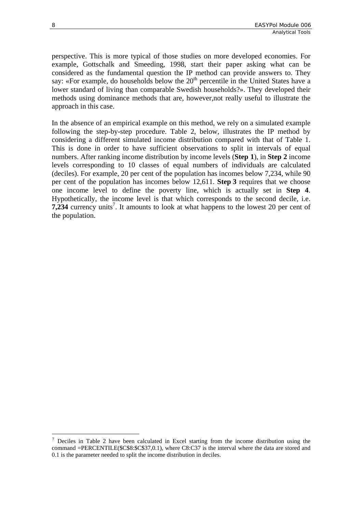perspective. This is more typical of those studies on more developed economies. For example, Gottschalk and Smeeding, 1998, start their paper asking what can be considered as the fundamental question the IP method can provide answers to. They say: «For example, do households below the  $20<sup>th</sup>$  percentile in the United States have a lower standard of living than comparable Swedish households?». They developed their methods using dominance methods that are, however,not really useful to illustrate the approach in this case.

In the absence of an empirical example on this method, we rely on a simulated example following the step-by-step procedure. Table 2, below, illustrates the IP method by considering a different simulated income distribution compared with that of Table 1. This is done in order to have sufficient observations to split in intervals of equal numbers. After ranking income distribution by income levels (**Step 1**), in **Step 2** income levels corresponding to 10 classes of equal numbers of individuals are calculated (deciles). For example, 20 per cent of the population has incomes below 7,234, while 90 per cent of the population has incomes below 12,611. **Step 3** requires that we choose one income level to define the poverty line, which is actually set in **Step 4**. Hypothetically, the income level is that which corresponds to the second decile, i.e.  $7,234$  currency units<sup>7</sup>. It amounts to look at what happens to the lowest 20 per cent of the population.

 $\overline{a}$ 

<span id="page-11-0"></span> $\frac{7}{1}$  Deciles in Table 2 have been calculated in Excel starting from the income distribution using the command =PERCENTILE(\$C\$8:\$C\$37,0.1), where C8:C37 is the interval where the data are stored and 0.1 is the parameter needed to split the income distribution in deciles.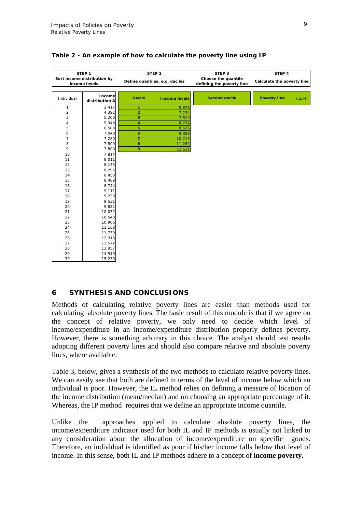|                             | STEP <sub>1</sub>        |                                | STEP <sub>2</sub>    | STEP <sub>3</sub>         | STEP 4                     |       |
|-----------------------------|--------------------------|--------------------------------|----------------------|---------------------------|----------------------------|-------|
| Sort income distribution by |                          | Define quantiles, e.g. deciles |                      | Choose the quantile       |                            |       |
| income levels               |                          |                                |                      | defining the poverty line | Calculate the poverty line |       |
|                             |                          |                                |                      |                           |                            |       |
| Individual                  | Income<br>distribution A | <b>Decile</b>                  | <b>Income levels</b> | <b>Second decile</b>      | <b>Poverty line</b>        | 7,234 |
| $\mathbf{1}$                | 2,417                    | 1                              | 5,873                |                           |                            |       |
| $\overline{\mathbf{c}}$     | 4,392                    | $\overline{2}$                 | 7,234                |                           |                            |       |
| 3                           | 5,200                    | 3                              | 7,810                |                           |                            |       |
| $\overline{4}$              | 5,948                    | 4                              | 8,234                |                           |                            |       |
| 5                           | 6,500                    | 5                              | 8,616                |                           |                            |       |
| 6                           | 7,048                    | $\ddot{\mathbf{6}}$            | 9,356                |                           |                            |       |
| 7                           | 7,280                    | $\overline{7}$                 | 10,213               |                           |                            |       |
| 8                           | 7,800                    | 8                              | 11,282               |                           |                            |       |
| 9                           | 7,800                    | 9                              | 12,611               |                           |                            |       |
| 10                          | 7,814                    |                                |                      |                           |                            |       |
| 11                          | 8,011                    |                                |                      |                           |                            |       |
| 12                          | 8,143                    |                                |                      |                           |                            |       |
| 13                          | 8,295                    |                                |                      |                           |                            |       |
| 14                          | 8,450                    |                                |                      |                           |                            |       |
| 15                          | 8,489                    |                                |                      |                           |                            |       |
| 16                          | 8,744                    |                                |                      |                           |                            |       |
| 17                          | 9,111                    |                                |                      |                           |                            |       |
| 18                          | 9,239                    |                                |                      |                           |                            |       |
| 19                          | 9,531                    |                                |                      |                           |                            |       |
| 20                          | 9,822                    |                                |                      |                           |                            |       |
| 21                          | 10,072                   |                                |                      |                           |                            |       |
| 22                          | 10,540                   |                                |                      |                           |                            |       |
| 23                          | 10,906                   |                                |                      |                           |                            |       |
| 24                          | 11,168                   |                                |                      |                           |                            |       |
| 25                          | 11,739                   |                                |                      |                           |                            |       |
| 26                          | 12,316                   |                                |                      |                           |                            |       |
| 27                          | 12,572                   |                                |                      |                           |                            |       |
| 28                          | 12,957                   |                                |                      |                           |                            |       |
| 29                          | 14,519                   |                                |                      |                           |                            |       |
| 30                          | 15,239                   |                                |                      |                           |                            |       |

#### <span id="page-12-0"></span>**Table 2 - An example of how to calculate the poverty line using IP**

#### **6 SYNTHESIS AND CONCLUSIONS**

Methods of calculating relative poverty lines are easier than methods used for calculating absolute poverty lines. The basic result of this module is that if we agree on the concept of relative poverty, we only need to decide which level of income/expenditure in an income/expenditure distribution properly defines poverty. However, there is something arbitrary in this choice. The analyst should test results adopting different poverty lines and should also compare relative and absolute poverty lines, where available.

Table 3, below, gives a synthesis of the two methods to calculate relative poverty lines. We can easily see that both are defined in terms of the level of income below which an individual is poor. However, the IL method relies on defining a measure of location of the income distribution (mean/median) and on choosing an appropriate percentage of it. Whereas, the IP method requires that we define an appropriate income quantile.

Unlike the approaches applied to calculate absolute poverty lines, the income/expenditure indicator used for both IL and IP methods is usually not linked to any consideration about the allocation of income/expenditure on specific goods. Therefore, an individual is identified as poor if his/her income falls below that level of income. In this sense, both IL and IP methods adhere to a concept of **income poverty**.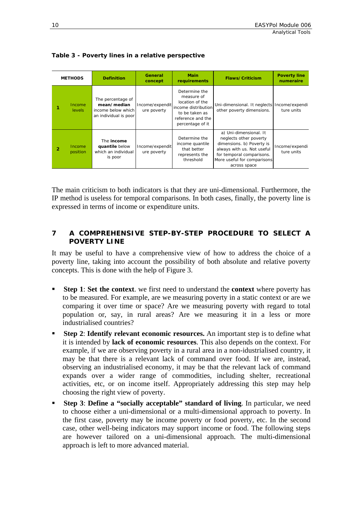| <b>METHODS</b> |                |                    | <b>Definition</b>                                                               | General<br>concept             | <b>Main</b><br>requirements                                                                                                      | <b>Flaws/Criticism</b>                                                                                                                                                                  | <b>Poverty line</b><br>numeraire |
|----------------|----------------|--------------------|---------------------------------------------------------------------------------|--------------------------------|----------------------------------------------------------------------------------------------------------------------------------|-----------------------------------------------------------------------------------------------------------------------------------------------------------------------------------------|----------------------------------|
|                |                | Income<br>levels   | The percentage of<br>mean/median<br>income below which<br>an individual is poor | Income/expendit<br>ure poverty | Determine the<br>measure of<br>location of the<br>income distribution<br>to be taken as<br>reference and the<br>percentage of it | Uni-dimensional. It neglects<br>other poverty dimensions.                                                                                                                               | Income/expendi<br>ture units     |
|                | $\overline{2}$ | Income<br>position | The <b>income</b><br>quantile below<br>which an individual<br>is poor           | Income/expendit<br>ure poverty | Determine the<br>income quantile<br>that better<br>represents the<br>threshold                                                   | a) Uni-dimensional. It<br>neglects other poverty<br>dimensions. b) Poverty is<br>always with us. Not useful<br>for temporal comparisons.<br>More useful for comparisons<br>across space | Income/expendi<br>ture units     |

<span id="page-13-0"></span>**Table 3 - Poverty lines in a relative perspective** 

The main criticism to both indicators is that they are uni-dimensional. Furthermore, the IP method is useless for temporal comparisons. In both cases, finally, the poverty line is expressed in terms of income or expenditure units.

## **7 A COMPREHENSIVE STEP-BY-STEP PROCEDURE TO SELECT A POVERTY LINE**

It may be useful to have a comprehensive view of how to address the choice of a poverty line, taking into account the possibility of both absolute and relative poverty concepts. This is done with the help of Figure 3.

- **Step 1**: **Set the context**. we first need to understand the **context** where poverty has to be measured. For example, are we measuring poverty in a static context or are we comparing it over time or space? Are we measuring poverty with regard to total population or, say, in rural areas? Are we measuring it in a less or more industrialised countries?
- **Step 2**: **Identify relevant economic resources.** An important step is to define what it is intended by **lack of economic resources**. This also depends on the context. For example, if we are observing poverty in a rural area in a non-idustrialised country, it may be that there is a relevant lack of command over food. If we are, instead, observing an industrialised economy, it may be that the relevant lack of command expands over a wider range of commodities, including shelter, recreational activities, etc, or on income itself. Appropriately addressing this step may help choosing the right view of poverty.
- **Step 3**: **Define a "socially acceptable" standard of living**. In particular, we need to choose either a uni-dimensional or a multi-dimensional approach to poverty. In the first case, poverty may be income poverty or food poverty, etc. In the second case, other well-being indicators may support income or food. The following steps are however tailored on a uni-dimensional approach. The multi-dimensional approach is left to more advanced material.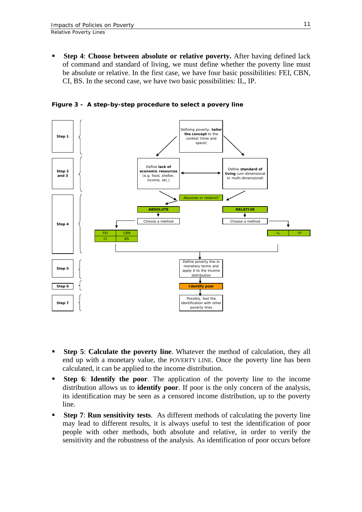**Step 4**: **Choose between absolute or relative poverty.** After having defined lack of command and standard of living, we must define whether the poverty line must be absolute or relative. In the first case, we have four basic possibilities: FEI, CBN, CI, BS. In the second case, we have two basic possibilities: IL, IP.

**Figure 3 - A step-by-step procedure to select a povery line** 



- **Step 5**: **Calculate the poverty line**. Whatever the method of calculation, they all end up with a monetary value, the POVERTY LINE. Once the poverty line has been calculated, it can be applied to the income distribution.
- **Step 6**: **Identify the poor**. The application of the poverty line to the income distribution allows us to **identify poor**. If poor is the only concern of the analysis, its identification may be seen as a censored income distribution, up to the poverty line.
- **Step 7**: **Run sensitivity tests**. As different methods of calculating the poverty line may lead to different results, it is always useful to test the identification of poor people with other methods, both absolute and relative, in order to verify the sensitivity and the robustness of the analysis. As identification of poor occurs before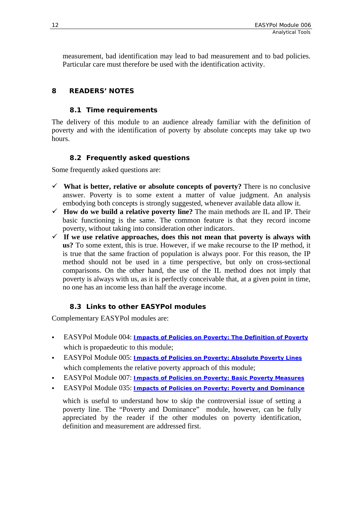<span id="page-15-0"></span>measurement, bad identification may lead to bad measurement and to bad policies. Particular care must therefore be used with the identification activity.

## **8 READERS' NOTES**

## **8.1 Time requirements**

The delivery of this module to an audience already familiar with the definition of poverty and with the identification of poverty by absolute concepts may take up two hours.

## **8.2 Frequently asked questions**

Some frequently asked questions are:

- $\checkmark$  What is better, relative or absolute concepts of poverty? There is no conclusive answer. Poverty is to some extent a matter of value judgment. An analysis embodying both concepts is strongly suggested, whenever available data allow it.
- 9 **How do we build a relative poverty line?** The main methods are IL and IP. Their basic functioning is the same. The common feature is that they record income poverty, without taking into consideration other indicators.
- $\checkmark$  If we use relative approaches, does this not mean that poverty is always with **us?** To some extent, this is true. However, if we make recourse to the IP method, it is true that the same fraction of population is always poor. For this reason, the IP method should not be used in a time perspective, but only on cross-sectional comparisons. On the other hand, the use of the IL method does not imply that poverty is always with us, as it is perfectly conceivable that, at a given point in time, no one has an income less than half the average income.

## **8.3 Links to other EASYPol modules**

Complementary EASYPol modules are:

- EASYPol Module 004: *Impacts of Policies on [Poverty: The Definition of Poverty](http://www.fao.org/docs/up/easypol/312/povanlys_defpov_004EN.pdf)* [which is propaedeutic](http://www.fao.org/docs/up/easypol/312/povanlys_defpov_004EN.pdf) to this module;
- EASYPol Module 005: *[Impacts of Policies on Poverty: Absolute Poverty Lines](http://www.fao.org/docs/up/easypol/316/abslt_pov_lines_005EN.pdf)* which complements the relative poverty approach of this module;
- EASYPol Module 007: *[Impacts of Policies on Poverty: Basic Poverty Measures](http://www.fao.org/docs/up/easypol/323/basic-pov-measures_007EN.pdf)*
- EASYPol Module 035: *[Impacts of Policies on Poverty: Poverty and Dominance](http://www.fao.org/docs/up/easypol/328/povety&dominance_035EN.pdf)*

which is useful to understand how to skip the controversial issue of setting a poverty line. The "Poverty and Dominance" module, however, can be fully appreciated by the reader if the other modules on poverty identification, definition and measurement are addressed first.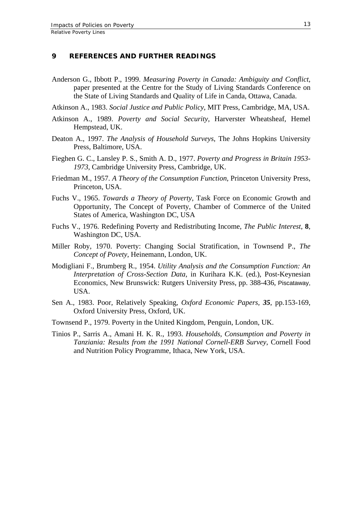#### <span id="page-16-0"></span>**9 REFERENCES AND FURTHER READINGS**

- Anderson G., Ibbott P., 1999. *Measuring Poverty in Canada: Ambiguity and Conflict*, paper presented at the Centre for the Study of Living Standards Conference on the State of Living Standards and Quality of Life in Canda, Ottawa, Canada.
- Atkinson A., 1983. *Social Justice and Public Policy*, MIT Press, Cambridge, MA, USA.
- Atkinson A., 1989. *Poverty and Social Security*, Harverster Wheatsheaf, Hemel Hempstead, UK.
- Deaton A., 1997. *The Analysis of Household Surveys*, The Johns Hopkins University Press, Baltimore, USA.
- Fieghen G. C., Lansley P. S., Smith A. D., 1977. *Poverty and Progress in Britain 1953- 1973*, Cambridge University Press, Cambridge, UK.
- Friedman M., 1957. *A Theory of the Consumption Function*, Princeton University Press, Princeton, USA.
- Fuchs V., 1965. *Towards a Theory of Poverty*, Task Force on Economic Growth and Opportunity, The Concept of Poverty, Chamber of Commerce of the United States of America, Washington DC, USA
- Fuchs V., 1976. Redefining Poverty and Redistributing Income, *The Public Interest*, **8**, Washington DC, USA.
- Miller Roby, 1970. Poverty: Changing Social Stratification, in Townsend P., *The Concept of Povety*, Heinemann, London, UK.
- Modigliani F., Brumberg R., 1954. *Utility Analysis and the Consumption Function: An Interpretation of Cross-Section Data*, in Kurihara K.K. (ed.), Post-Keynesian Economics, New Brunswick: Rutgers University Press, pp. 388-436, Piscataway, USA.
- Sen A., 1983. Poor, Relatively Speaking, *Oxford Economic Papers, 35*, pp.153-169, Oxford University Press, Oxford, UK.
- Townsend P., 1979. Poverty in the United Kingdom, Penguin, London, UK.
- Tinios P., Sarris A., Amani H. K. R., 1993. *Households, Consumption and Poverty in Tanziania: Results from the 1991 National Cornell-ERB Survey*, Cornell Food and Nutrition Policy Programme, Ithaca, New York, USA.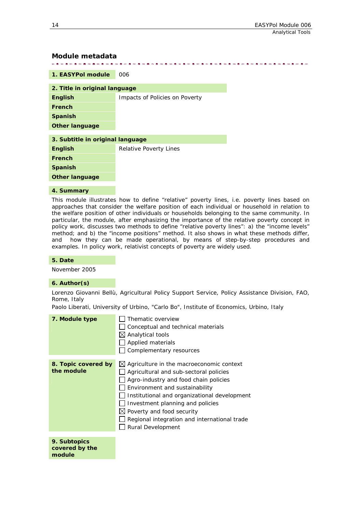#### <span id="page-17-0"></span>**Module metadata**

| 1. EASYPol module                | 006                            |
|----------------------------------|--------------------------------|
| 2. Title in original language    |                                |
| <b>English</b>                   | Impacts of Policies on Poverty |
| French                           |                                |
| <b>Spanish</b>                   |                                |
| <b>Other language</b>            |                                |
| 3. Subtitle in original language |                                |
| <b>English</b>                   | Relative Poverty Lines         |
| French                           |                                |
| <b>Spanish</b>                   |                                |
| <b>Other language</b>            |                                |

#### **4. Summary**

This module illustrates how to define "relative" poverty lines, i.e. poverty lines based on approaches that consider the welfare position of each individual or household in relation to the welfare position of other individuals or households belonging to the same community. In particular, the module, after emphasizing the importance of the relative poverty concept in policy work, discusses two methods to define "relative poverty lines": a) the "income levels" method; and b) the "income positions" method. It also shows in what these methods differ, and how they can be made operational, by means of step-by-step procedures and examples. In policy work, relativist concepts of poverty are widely used.

#### **5. Date**

November 2005

#### **6. Author(s)**

Lorenzo Giovanni Bellù, Agricultural Policy Support Service, Policy Assistance Division, FAO, Rome, Italy

Paolo Liberati, University of Urbino, "Carlo Bo", Institute of Economics, Urbino, Italy

| 7. Module type                           | Thematic overview<br>Conceptual and technical materials<br>$\boxtimes$ Analytical tools<br>Applied materials<br>Complementary resources                                                                                                                                                                                                                         |
|------------------------------------------|-----------------------------------------------------------------------------------------------------------------------------------------------------------------------------------------------------------------------------------------------------------------------------------------------------------------------------------------------------------------|
| 8. Topic covered by<br>the module        | $\boxtimes$ Agriculture in the macroeconomic context<br>Agricultural and sub-sectoral policies<br>Agro-industry and food chain policies<br>Environment and sustainability<br>Institutional and organizational development<br>Investment planning and policies<br>Poverty and food security<br>Regional integration and international trade<br>Rural Development |
| 9. Subtopics<br>covered by the<br>module |                                                                                                                                                                                                                                                                                                                                                                 |